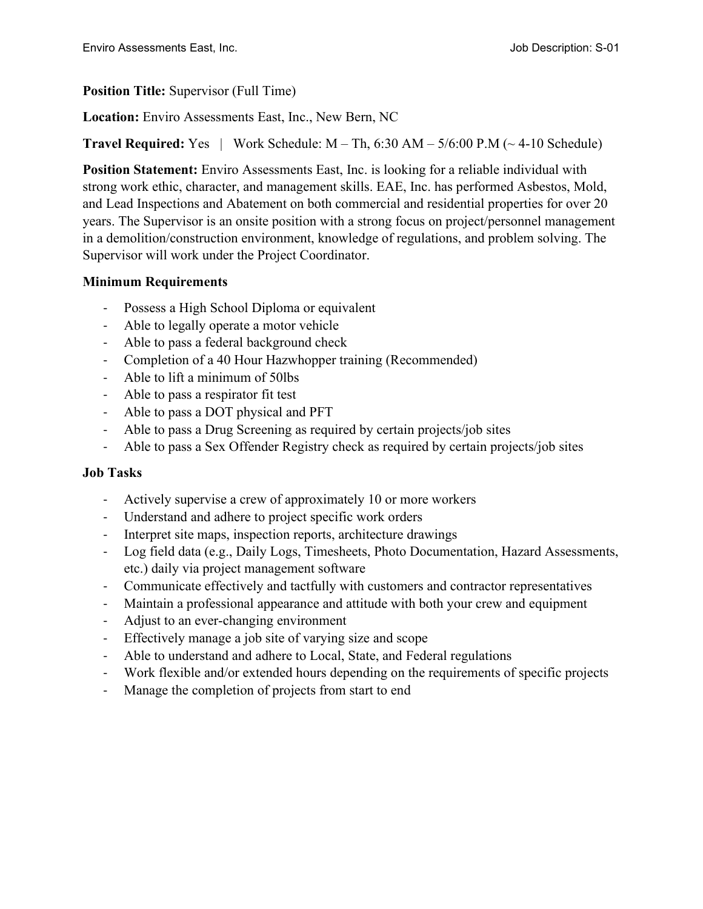### **Position Title:** Supervisor (Full Time)

**Location:** Enviro Assessments East, Inc., New Bern, NC

**Travel Required:** Yes  $|$  Work Schedule:  $M - Th$ , 6:30  $AM - 5/6:00$  P.M  $(\sim 4-10$  Schedule)

**Position Statement:** Enviro Assessments East, Inc. is looking for a reliable individual with strong work ethic, character, and management skills. EAE, Inc. has performed Asbestos, Mold, and Lead Inspections and Abatement on both commercial and residential properties for over 20 years. The Supervisor is an onsite position with a strong focus on project/personnel management in a demolition/construction environment, knowledge of regulations, and problem solving. The Supervisor will work under the Project Coordinator.

# **Minimum Requirements**

- Possess a High School Diploma or equivalent
- Able to legally operate a motor vehicle
- Able to pass a federal background check
- Completion of a 40 Hour Hazwhopper training (Recommended)
- Able to lift a minimum of 50lbs
- Able to pass a respirator fit test
- Able to pass a DOT physical and PFT
- Able to pass a Drug Screening as required by certain projects/job sites
- Able to pass a Sex Offender Registry check as required by certain projects/job sites

# **Job Tasks**

- Actively supervise a crew of approximately 10 or more workers
- Understand and adhere to project specific work orders
- Interpret site maps, inspection reports, architecture drawings
- Log field data (e.g., Daily Logs, Timesheets, Photo Documentation, Hazard Assessments, etc.) daily via project management software
- Communicate effectively and tactfully with customers and contractor representatives
- Maintain a professional appearance and attitude with both your crew and equipment
- Adjust to an ever-changing environment
- Effectively manage a job site of varying size and scope
- Able to understand and adhere to Local, State, and Federal regulations
- Work flexible and/or extended hours depending on the requirements of specific projects
- Manage the completion of projects from start to end